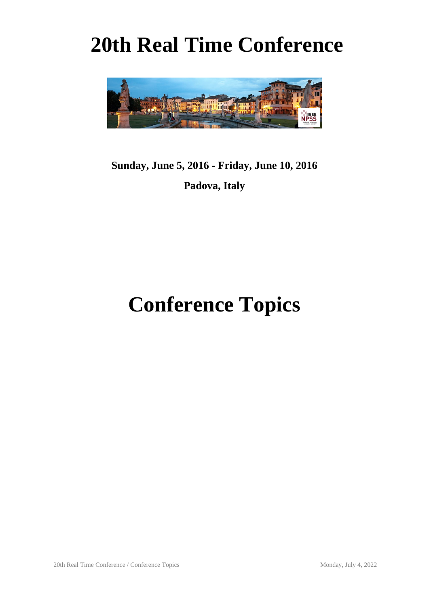# **20th Real Time Conference**



## **Sunday, June 5, 2016 - Friday, June 10, 2016 Padova, Italy**

# **Conference Topics**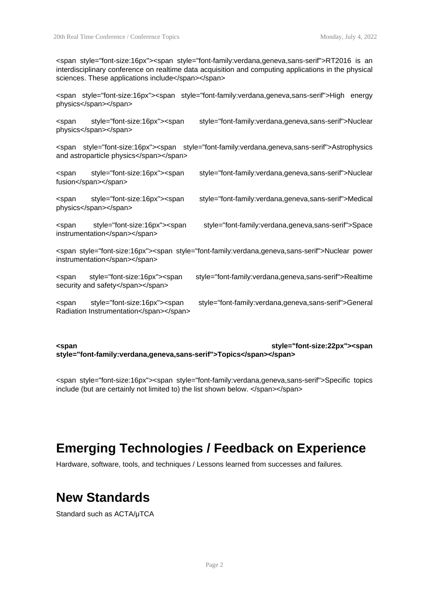<span style="font-size:16px"><span style="font-family:verdana,geneva,sans-serif">RT2016 is an interdisciplinary conference on realtime data acquisition and computing applications in the physical sciences. These applications include</span></span>

<span style="font-size:16px"><span style="font-family:verdana,geneva,sans-serif">High energy physics</span></span>

<span style="font-size:16px"><span style="font-family:verdana,geneva,sans-serif">Nuclear physics</span></span>

<span style="font-size:16px"><span style="font-family:verdana,geneva,sans-serif">Astrophysics and astroparticle physics</span></span>

<span style="font-size:16px"><span style="font-family:verdana,geneva,sans-serif">Nuclear fusion</span></span>

<span style="font-size:16px"><span style="font-family:verdana,geneva,sans-serif">Medical physics</span></span>

<span style="font-size:16px"><span style="font-family:verdana,geneva,sans-serif">Space instrumentation</span></span>

<span style="font-size:16px"><span style="font-family:verdana,geneva,sans-serif">Nuclear power instrumentation</span></span>

<span style="font-size:16px"><span style="font-family:verdana,geneva,sans-serif">Realtime security and safety</span></span>

<span style="font-size:16px"><span style="font-family:verdana,geneva,sans-serif">General Radiation Instrumentation</span></span>

**<span style="font-size:22px"><span style="font-family:verdana,geneva,sans-serif">Topics</span></span>**

<span style="font-size:16px"><span style="font-family:verdana,geneva,sans-serif">Specific topics include (but are certainly not limited to) the list shown below. </span></span>

#### **Emerging Technologies / Feedback on Experience**

Hardware, software, tools, and techniques / Lessons learned from successes and failures.

#### **New Standards**

Standard such as ACTA/μTCA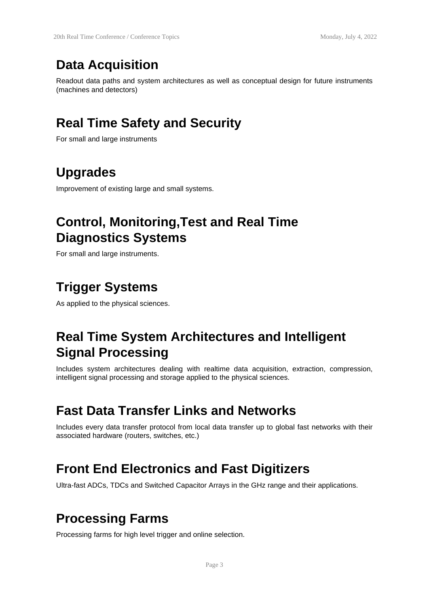#### **Data Acquisition**

Readout data paths and system architectures as well as conceptual design for future instruments (machines and detectors)

### **Real Time Safety and Security**

For small and large instruments

#### **Upgrades**

Improvement of existing large and small systems.

#### **Control, Monitoring,Test and Real Time Diagnostics Systems**

For small and large instruments.

### **Trigger Systems**

As applied to the physical sciences.

### **Real Time System Architectures and Intelligent Signal Processing**

Includes system architectures dealing with realtime data acquisition, extraction, compression, intelligent signal processing and storage applied to the physical sciences.

#### **Fast Data Transfer Links and Networks**

Includes every data transfer protocol from local data transfer up to global fast networks with their associated hardware (routers, switches, etc.)

#### **Front End Electronics and Fast Digitizers**

Ultra-fast ADCs, TDCs and Switched Capacitor Arrays in the GHz range and their applications.

#### **Processing Farms**

Processing farms for high level trigger and online selection.